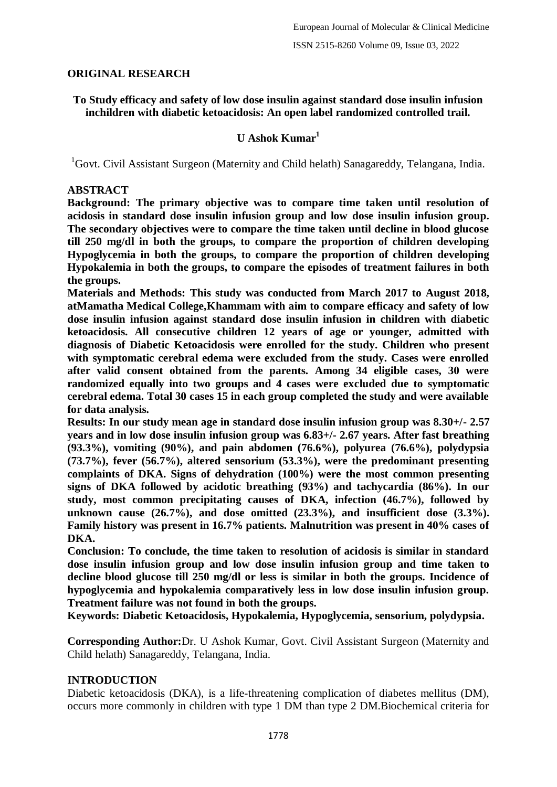### **ORIGINAL RESEARCH**

### **To Study efficacy and safety of low dose insulin against standard dose insulin infusion inchildren with diabetic ketoacidosis: An open label randomized controlled trail.**

## **U Ashok Kumar<sup>1</sup>**

<sup>1</sup>Govt. Civil Assistant Surgeon (Maternity and Child helath) Sanagareddy, Telangana, India.

#### **ABSTRACT**

**Background: The primary objective was to compare time taken until resolution of acidosis in standard dose insulin infusion group and low dose insulin infusion group. The secondary objectives were to compare the time taken until decline in blood glucose till 250 mg/dl in both the groups, to compare the proportion of children developing Hypoglycemia in both the groups, to compare the proportion of children developing Hypokalemia in both the groups, to compare the episodes of treatment failures in both the groups.**

**Materials and Methods: This study was conducted from March 2017 to August 2018, atMamatha Medical College,Khammam with aim to compare efficacy and safety of low dose insulin infusion against standard dose insulin infusion in children with diabetic ketoacidosis. All consecutive children 12 years of age or younger, admitted with diagnosis of Diabetic Ketoacidosis were enrolled for the study. Children who present with symptomatic cerebral edema were excluded from the study. Cases were enrolled after valid consent obtained from the parents. Among 34 eligible cases, 30 were randomized equally into two groups and 4 cases were excluded due to symptomatic cerebral edema. Total 30 cases 15 in each group completed the study and were available for data analysis.**

**Results: In our study mean age in standard dose insulin infusion group was 8.30+/- 2.57 years and in low dose insulin infusion group was 6.83+/- 2.67 years. After fast breathing (93.3%), vomiting (90%), and pain abdomen (76.6%), polyurea (76.6%), polydypsia (73.7%), fever (56.7%), altered sensorium (53.3%), were the predominant presenting complaints of DKA. Signs of dehydration (100%) were the most common presenting signs of DKA followed by acidotic breathing (93%) and tachycardia (86%). In our study, most common precipitating causes of DKA, infection (46.7%), followed by**  unknown cause (26.7%), and dose omitted (23.3%), and insufficient dose (3.3%). **Family history was present in 16.7% patients. Malnutrition was present in 40% cases of DKA.**

**Conclusion: To conclude, the time taken to resolution of acidosis is similar in standard dose insulin infusion group and low dose insulin infusion group and time taken to decline blood glucose till 250 mg/dl or less is similar in both the groups. Incidence of hypoglycemia and hypokalemia comparatively less in low dose insulin infusion group. Treatment failure was not found in both the groups.**

**Keywords: Diabetic Ketoacidosis, Hypokalemia, Hypoglycemia, sensorium, polydypsia.**

**Corresponding Author:**Dr. U Ashok Kumar, Govt. Civil Assistant Surgeon (Maternity and Child helath) Sanagareddy, Telangana, India.

### **INTRODUCTION**

Diabetic ketoacidosis (DKA), is a life-threatening complication of diabetes mellitus (DM), occurs more commonly in children with type 1 DM than type 2 DM.Biochemical criteria for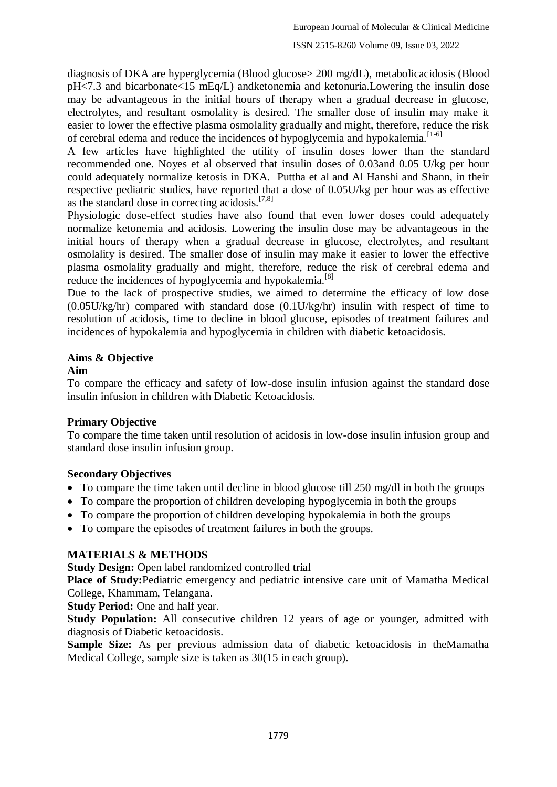diagnosis of DKA are hyperglycemia (Blood glucose> 200 mg/dL), metabolicacidosis (Blood pH<7.3 and bicarbonate<15 mEq/L) andketonemia and ketonuria.Lowering the insulin dose may be advantageous in the initial hours of therapy when a gradual decrease in glucose, electrolytes, and resultant osmolality is desired. The smaller dose of insulin may make it easier to lower the effective plasma osmolality gradually and might, therefore, reduce the risk of cerebral edema and reduce the incidences of hypoglycemia and hypokalemia.<sup>[1-6]</sup>

A few articles have highlighted the utility of insulin doses lower than the standard recommended one. Noyes et al observed that insulin doses of 0.03and 0.05 U/kg per hour could adequately normalize ketosis in DKA. Puttha et al and Al Hanshi and Shann, in their respective pediatric studies, have reported that a dose of 0.05U/kg per hour was as effective as the standard dose in correcting acidosis. $[7,8]$ 

Physiologic dose-effect studies have also found that even lower doses could adequately normalize ketonemia and acidosis. Lowering the insulin dose may be advantageous in the initial hours of therapy when a gradual decrease in glucose, electrolytes, and resultant osmolality is desired. The smaller dose of insulin may make it easier to lower the effective plasma osmolality gradually and might, therefore, reduce the risk of cerebral edema and reduce the incidences of hypoglycemia and hypokalemia.<sup>[8]</sup>

Due to the lack of prospective studies, we aimed to determine the efficacy of low dose (0.05U/kg/hr) compared with standard dose (0.1U/kg/hr) insulin with respect of time to resolution of acidosis, time to decline in blood glucose, episodes of treatment failures and incidences of hypokalemia and hypoglycemia in children with diabetic ketoacidosis.

# **Aims & Objective**

## **Aim**

To compare the efficacy and safety of low-dose insulin infusion against the standard dose insulin infusion in children with Diabetic Ketoacidosis.

## **Primary Objective**

To compare the time taken until resolution of acidosis in low-dose insulin infusion group and standard dose insulin infusion group.

## **Secondary Objectives**

- $\bullet$  To compare the time taken until decline in blood glucose till 250 mg/dl in both the groups
- To compare the proportion of children developing hypoglycemia in both the groups
- To compare the proportion of children developing hypokalemia in both the groups
- To compare the episodes of treatment failures in both the groups.

## **MATERIALS & METHODS**

**Study Design:** Open label randomized controlled trial

**Place of Study:**Pediatric emergency and pediatric intensive care unit of Mamatha Medical College, Khammam, Telangana.

**Study Period:** One and half year.

**Study Population:** All consecutive children 12 years of age or younger, admitted with diagnosis of Diabetic ketoacidosis.

**Sample Size:** As per previous admission data of diabetic ketoacidosis in theMamatha Medical College, sample size is taken as 30(15 in each group).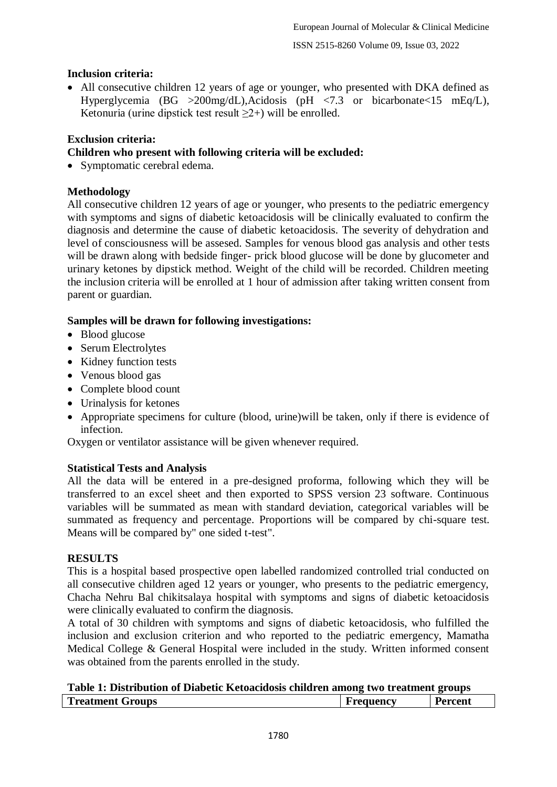## **Inclusion criteria:**

 All consecutive children 12 years of age or younger, who presented with DKA defined as Hyperglycemia (BG >200mg/dL),Acidosis (pH <7.3 or bicarbonate <15 mEq/L), Ketonuria (urine dipstick test result  $\geq 2+$ ) will be enrolled.

### **Exclusion criteria:**

### **Children who present with following criteria will be excluded:**

• Symptomatic cerebral edema.

### **Methodology**

All consecutive children 12 years of age or younger, who presents to the pediatric emergency with symptoms and signs of diabetic ketoacidosis will be clinically evaluated to confirm the diagnosis and determine the cause of diabetic ketoacidosis. The severity of dehydration and level of consciousness will be assesed. Samples for venous blood gas analysis and other tests will be drawn along with bedside finger- prick blood glucose will be done by glucometer and urinary ketones by dipstick method. Weight of the child will be recorded. Children meeting the inclusion criteria will be enrolled at 1 hour of admission after taking written consent from parent or guardian.

### **Samples will be drawn for following investigations:**

- Blood glucose
- Serum Electrolytes
- Kidney function tests
- Venous blood gas
- Complete blood count
- Urinalysis for ketones
- Appropriate specimens for culture (blood, urine)will be taken, only if there is evidence of infection.

Oxygen or ventilator assistance will be given whenever required.

### **Statistical Tests and Analysis**

All the data will be entered in a pre-designed proforma, following which they will be transferred to an excel sheet and then exported to SPSS version 23 software. Continuous variables will be summated as mean with standard deviation, categorical variables will be summated as frequency and percentage. Proportions will be compared by chi-square test. Means will be compared by" one sided t-test".

### **RESULTS**

This is a hospital based prospective open labelled randomized controlled trial conducted on all consecutive children aged 12 years or younger, who presents to the pediatric emergency, Chacha Nehru Bal chikitsalaya hospital with symptoms and signs of diabetic ketoacidosis were clinically evaluated to confirm the diagnosis.

A total of 30 children with symptoms and signs of diabetic ketoacidosis, who fulfilled the inclusion and exclusion criterion and who reported to the pediatric emergency, Mamatha Medical College & General Hospital were included in the study. Written informed consent was obtained from the parents enrolled in the study.

| Table 1: Distribution of Diabetic Ketoacidosis children among two treatment groups |                  |                |  |  |  |  |  |  |
|------------------------------------------------------------------------------------|------------------|----------------|--|--|--|--|--|--|
| Treatment Groups                                                                   | <b>Frequency</b> | <b>Percent</b> |  |  |  |  |  |  |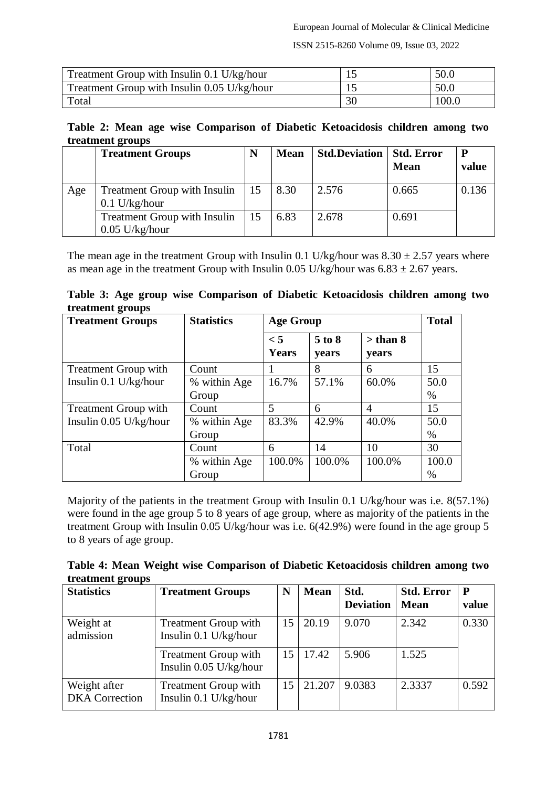ISSN 2515-8260 Volume 09, Issue 03, 2022

| Treatment Group with Insulin 0.1 U/kg/hour  |    | 50.0  |
|---------------------------------------------|----|-------|
| Treatment Group with Insulin 0.05 U/kg/hour |    | 50.0  |
| Total                                       | 30 | 100.0 |

#### **Table 2: Mean age wise Comparison of Diabetic Ketoacidosis children among two treatment groups**

|     | <b>Treatment Groups</b>                                | N  | <b>Mean</b> | <b>Std.Deviation</b> | <b>Std. Error</b><br><b>Mean</b> | P<br>value |
|-----|--------------------------------------------------------|----|-------------|----------------------|----------------------------------|------------|
| Age | <b>Treatment Group with Insulin</b><br>$0.1$ U/kg/hour | 15 | 8.30        | 2.576                | 0.665                            | 0.136      |
|     | Treatment Group with Insulin<br>$0.05$ U/kg/hour       | 15 | 6.83        | 2.678                | 0.691                            |            |

The mean age in the treatment Group with Insulin 0.1 U/kg/hour was  $8.30 \pm 2.57$  years where as mean age in the treatment Group with Insulin 0.05 U/kg/hour was  $6.83 \pm 2.67$  years.

| Table 3: Age group wise Comparison of Diabetic Ketoacidosis children among two |  |  |  |
|--------------------------------------------------------------------------------|--|--|--|
| treatment groups                                                               |  |  |  |

| <b>Treatment Groups</b>     | <b>Statistics</b> | <b>Age Group</b>         | <b>Total</b>    |                              |       |
|-----------------------------|-------------------|--------------------------|-----------------|------------------------------|-------|
|                             |                   | $\leq 5$<br><b>Years</b> | 5 to 8<br>years | $>$ than $8$<br><b>vears</b> |       |
| <b>Treatment Group with</b> | Count             |                          | 8               | 6                            | 15    |
| Insulin $0.1$ U/kg/hour     | % within Age      | 16.7%                    | 57.1%           | 60.0%                        | 50.0  |
|                             | Group             |                          |                 |                              | $\%$  |
| <b>Treatment Group with</b> | Count             | 5                        | 6               | $\overline{4}$               | 15    |
| Insulin $0.05$ U/kg/hour    | % within Age      | 83.3%                    | 42.9%           | 40.0%                        | 50.0  |
|                             | Group             |                          |                 |                              | %     |
| Total                       | Count             | 6                        | 14              | 10                           | 30    |
|                             | % within Age      | 100.0%                   | 100.0%          | 100.0%                       | 100.0 |
|                             | Group             |                          |                 |                              | $\%$  |

Majority of the patients in the treatment Group with Insulin 0.1 U/kg/hour was i.e. 8(57.1%) were found in the age group 5 to 8 years of age group, where as majority of the patients in the treatment Group with Insulin 0.05 U/kg/hour was i.e. 6(42.9%) were found in the age group 5 to 8 years of age group.

**Table 4: Mean Weight wise Comparison of Diabetic Ketoacidosis children among two treatment groups**

| <b>Statistics</b>                     | <b>Treatment Groups</b>                                 | N  | <b>Mean</b> | Std.<br><b>Deviation</b> | <b>Std. Error</b><br><b>Mean</b> | $\mathbf{P}$<br>value |
|---------------------------------------|---------------------------------------------------------|----|-------------|--------------------------|----------------------------------|-----------------------|
| Weight at<br>admission                | <b>Treatment Group with</b><br>Insulin $0.1$ U/kg/hour  | 15 | 20.19       | 9.070                    | 2.342                            | 0.330                 |
|                                       | <b>Treatment Group with</b><br>Insulin $0.05$ U/kg/hour | 15 | 17.42       | 5.906                    | 1.525                            |                       |
| Weight after<br><b>DKA</b> Correction | <b>Treatment Group with</b><br>Insulin 0.1 U/kg/hour    | 15 | 21.207      | 9.0383                   | 2.3337                           | 0.592                 |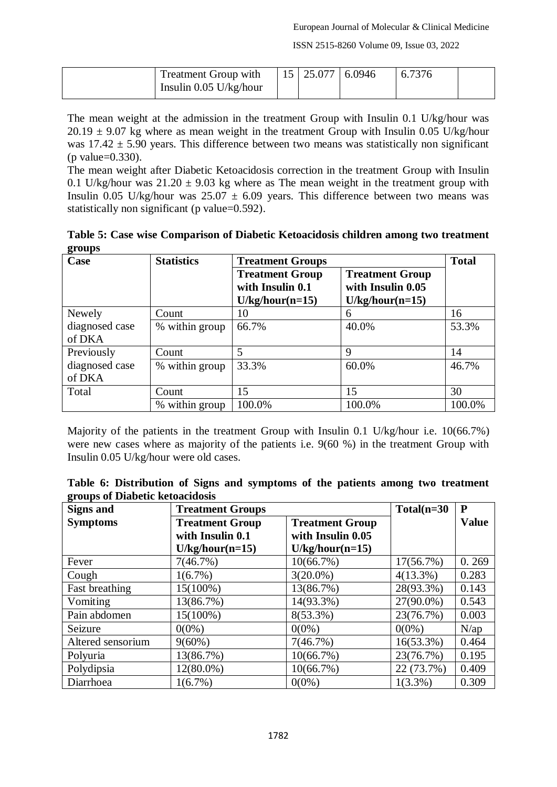ISSN 2515-8260 Volume 09, Issue 03, 2022

| <b>Treatment Group with</b> | $15 \mid 25.077 \mid 6.0946$ | 6.7376 |  |
|-----------------------------|------------------------------|--------|--|
| Insulin $0.05$ U/kg/hour    |                              |        |  |

The mean weight at the admission in the treatment Group with Insulin 0.1 U/kg/hour was  $20.19 \pm 9.07$  kg where as mean weight in the treatment Group with Insulin 0.05 U/kg/hour was  $17.42 \pm 5.90$  years. This difference between two means was statistically non significant (p value=0.330).

The mean weight after Diabetic Ketoacidosis correction in the treatment Group with Insulin 0.1 U/kg/hour was  $21.20 \pm 9.03$  kg where as The mean weight in the treatment group with Insulin 0.05 U/kg/hour was  $25.07 \pm 6.09$  years. This difference between two means was statistically non significant (p value=0.592).

|        |  |  | Table 5: Case wise Comparison of Diabetic Ketoacidosis children among two treatment |  |  |
|--------|--|--|-------------------------------------------------------------------------------------|--|--|
| groups |  |  |                                                                                     |  |  |

| Case           | <b>Statistics</b> | <b>Treatment Groups</b>                                         |                                                                  | <b>Total</b> |
|----------------|-------------------|-----------------------------------------------------------------|------------------------------------------------------------------|--------------|
|                |                   | <b>Treatment Group</b><br>with Insulin 0.1<br>$U/kg/hour(n=15)$ | <b>Treatment Group</b><br>with Insulin 0.05<br>$U/kg/hour(n=15)$ |              |
| Newely         | Count             | 10                                                              | 6                                                                | 16           |
| diagnosed case | % within group    | 66.7%                                                           | 40.0%                                                            | 53.3%        |
| of DKA         |                   |                                                                 |                                                                  |              |
| Previously     | Count             | 5                                                               | 9                                                                | 14           |
| diagnosed case | % within group    | 33.3%                                                           | 60.0%                                                            | 46.7%        |
| of DKA         |                   |                                                                 |                                                                  |              |
| Total          | Count             | 15                                                              | 15                                                               | 30           |
|                | within group      | 100.0%                                                          | 100.0%                                                           | 100.0%       |

Majority of the patients in the treatment Group with Insulin 0.1 U/kg/hour i.e. 10(66.7%) were new cases where as majority of the patients i.e. 9(60 %) in the treatment Group with Insulin 0.05 U/kg/hour were old cases.

|  | Table 6: Distribution of Signs and symptoms of the patients among two treatment |  |  |  |  |  |
|--|---------------------------------------------------------------------------------|--|--|--|--|--|
|  | groups of Diabetic ketoacidosis                                                 |  |  |  |  |  |

| <b>Signs and</b>  | <b>Treatment Groups</b> | $Total(n=30)$          | P            |              |
|-------------------|-------------------------|------------------------|--------------|--------------|
| <b>Symptoms</b>   | <b>Treatment Group</b>  | <b>Treatment Group</b> |              | <b>Value</b> |
|                   | with Insulin 0.1        | with Insulin 0.05      |              |              |
|                   | $U/kg/hour(n=15)$       | $U/kg/hour(n=15)$      |              |              |
| Fever             | 7(46.7%)                | 10(66.7%)              | 17(56.7%)    | 0.269        |
| Cough             | $1(6.7\%)$              | $3(20.0\%)$            | $4(13.3\%)$  | 0.283        |
| Fast breathing    | 15(100%)                | 13(86.7%)              | 28(93.3%)    | 0.143        |
| Vomiting          | 13(86.7%)               | 14(93.3%)              | 27(90.0%)    | 0.543        |
| Pain abdomen      | $15(100\%)$             | $8(53.3\%)$            | 23(76.7%)    | 0.003        |
| Seizure           | $0(0\%)$                | $0(0\%)$               | $0(0\%)$     | $N$ /ap      |
| Altered sensorium | $9(60\%)$               | 7(46.7%)               | $16(53.3\%)$ | 0.464        |
| Polyuria          | 13(86.7%)               | 10(66.7%)              | 23(76.7%)    | 0.195        |
| Polydipsia        | 12(80.0%)               | 10(66.7%)              | 22 (73.7%)   | 0.409        |
| Diarrhoea         | 1(6.7%)                 | $0(0\%)$               | $1(3.3\%)$   | 0.309        |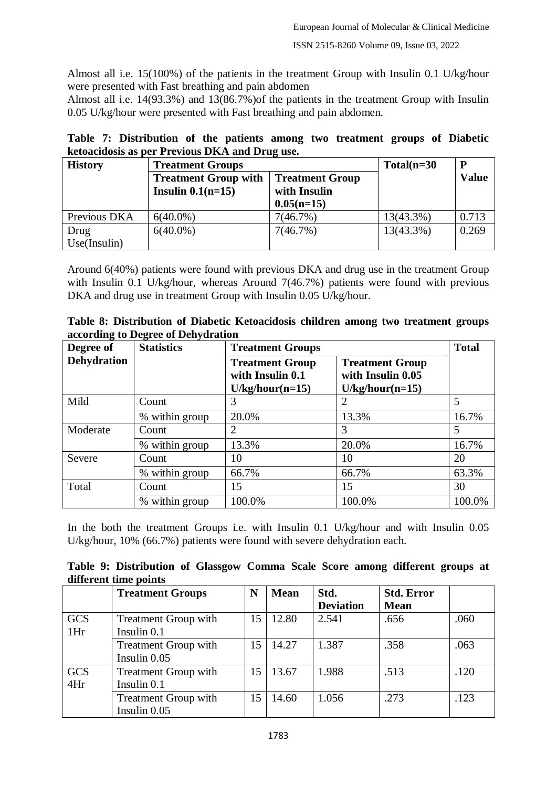Almost all i.e. 15(100%) of the patients in the treatment Group with Insulin 0.1 U/kg/hour were presented with Fast breathing and pain abdomen

Almost all i.e. 14(93.3%) and 13(86.7%)of the patients in the treatment Group with Insulin 0.05 U/kg/hour were presented with Fast breathing and pain abdomen.

|  | Table 7: Distribution of the patients among two treatment groups of Diabetic |  |  |  |  |  |
|--|------------------------------------------------------------------------------|--|--|--|--|--|
|  | ketoacidosis as per Previous DKA and Drug use.                               |  |  |  |  |  |

| <b>History</b> | <b>Treatment Groups</b>                               | $Total(n=30)$ | D         |              |
|----------------|-------------------------------------------------------|---------------|-----------|--------------|
|                | <b>Treatment Group with</b><br><b>Treatment Group</b> |               |           | <b>Value</b> |
|                | Insulin $0.1(n=15)$                                   | with Insulin  |           |              |
|                |                                                       | $0.05(n=15)$  |           |              |
| Previous DKA   | $6(40.0\%)$                                           | 7(46.7%)      | 13(43.3%) | 0.713        |
| Drug           | $6(40.0\%)$                                           | 7(46.7%)      | 13(43.3%) | 0.269        |
| Use(Insulin)   |                                                       |               |           |              |

Around 6(40%) patients were found with previous DKA and drug use in the treatment Group with Insulin 0.1 U/kg/hour, whereas Around 7(46.7%) patients were found with previous DKA and drug use in treatment Group with Insulin 0.05 U/kg/hour.

| Table 8: Distribution of Diabetic Ketoacidosis children among two treatment groups |  |  |  |
|------------------------------------------------------------------------------------|--|--|--|
| according to Degree of Dehydration                                                 |  |  |  |

| Degree of          | <b>Statistics</b> | <b>Treatment Groups</b>                                         | <b>Total</b>                                                     |        |
|--------------------|-------------------|-----------------------------------------------------------------|------------------------------------------------------------------|--------|
| <b>Dehydration</b> |                   | <b>Treatment Group</b><br>with Insulin 0.1<br>$U/kg/hour(n=15)$ | <b>Treatment Group</b><br>with Insulin 0.05<br>$U/kg/hour(n=15)$ |        |
| Mild               | Count             | 3                                                               | 2                                                                | 5      |
|                    | % within group    | 20.0%                                                           | 13.3%                                                            | 16.7%  |
| Moderate           | Count             |                                                                 | 3                                                                | 5      |
|                    | % within group    | 13.3%                                                           | 20.0%                                                            | 16.7%  |
| Severe             | Count             | 10                                                              | 10                                                               | 20     |
|                    | % within group    | 66.7%                                                           | 66.7%                                                            | 63.3%  |
| Total              | Count             | 15                                                              | 15                                                               | 30     |
|                    | % within group    | 100.0%                                                          | 100.0%                                                           | 100.0% |

In the both the treatment Groups i.e. with Insulin 0.1 U/kg/hour and with Insulin 0.05 U/kg/hour, 10% (66.7%) patients were found with severe dehydration each.

**Table 9: Distribution of Glassgow Comma Scale Score among different groups at different time points**

|            | <b>Treatment Groups</b>     | N  | <b>Mean</b> | Std.             | <b>Std. Error</b> |      |
|------------|-----------------------------|----|-------------|------------------|-------------------|------|
|            |                             |    |             | <b>Deviation</b> | <b>Mean</b>       |      |
| <b>GCS</b> | <b>Treatment Group with</b> | 15 | 12.80       | 2.541            | .656              | .060 |
| 1Hr        | Insulin 0.1                 |    |             |                  |                   |      |
|            | <b>Treatment Group with</b> | 15 | 14.27       | 1.387            | .358              | .063 |
|            | Insulin 0.05                |    |             |                  |                   |      |
| <b>GCS</b> | <b>Treatment Group with</b> | 15 | 13.67       | 1.988            | .513              | .120 |
| 4Hr        | Insulin 0.1                 |    |             |                  |                   |      |
|            | <b>Treatment Group with</b> | 15 | 14.60       | 1.056            | .273              | .123 |
|            | Insulin 0.05                |    |             |                  |                   |      |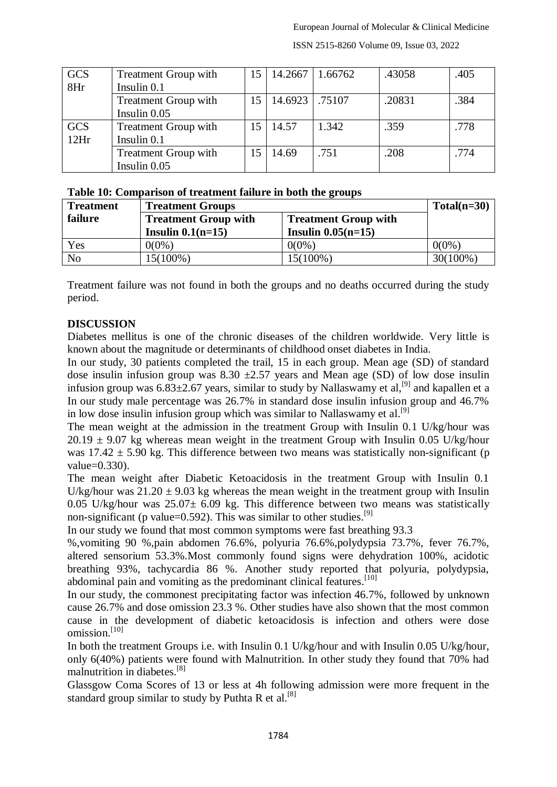| <b>GCS</b> | <b>Treatment Group with</b> | 15 | 14.2667       | 1.66762 | .43058 | .405 |
|------------|-----------------------------|----|---------------|---------|--------|------|
| 8Hr        | Insulin 0.1                 |    |               |         |        |      |
|            | <b>Treatment Group with</b> | 15 | 14.6923 75107 |         | .20831 | .384 |
|            | Insulin 0.05                |    |               |         |        |      |
| <b>GCS</b> | <b>Treatment Group with</b> | 15 | 14.57         | 1.342   | .359   | .778 |
| 12Hr       | Insulin 0.1                 |    |               |         |        |      |
|            | Treatment Group with        |    | 14.69         | .751    | .208   | .774 |
|            | Insulin 0.05                |    |               |         |        |      |

#### ISSN 2515-8260 Volume 09, Issue 03, 2022

#### **Table 10: Comparison of treatment failure in both the groups**

| <b>Treatment</b> | <b>Treatment Groups</b>                                    |                                        |             |  |
|------------------|------------------------------------------------------------|----------------------------------------|-------------|--|
| failure          | <b>Treatment Group with</b><br><b>Treatment Group with</b> |                                        |             |  |
|                  | Insulin $0.1(n=15)$                                        | <b>Insulin <math>0.05(n=15)</math></b> |             |  |
| Yes              | $0(0\%)$                                                   | $0(0\%)$                               | $0(0\%)$    |  |
| N <sub>0</sub>   | 15(100%)                                                   | $15(100\%)$                            | $30(100\%)$ |  |

Treatment failure was not found in both the groups and no deaths occurred during the study period.

#### **DISCUSSION**

Diabetes mellitus is one of the chronic diseases of the children worldwide. Very little is known about the magnitude or determinants of childhood onset diabetes in India.

In our study, 30 patients completed the trail, 15 in each group. Mean age (SD) of standard dose insulin infusion group was  $8.30 \pm 2.57$  years and Mean age (SD) of low dose insulin infusion group was  $6.83\pm2.67$  years, similar to study by Nallaswamy et al,<sup>[9]</sup> and kapallen et a In our study male percentage was 26.7% in standard dose insulin infusion group and 46.7% in low dose insulin infusion group which was similar to Nallaswamy et al.<sup>[9]</sup>

The mean weight at the admission in the treatment Group with Insulin 0.1 U/kg/hour was  $20.19 \pm 9.07$  kg whereas mean weight in the treatment Group with Insulin 0.05 U/kg/hour was  $17.42 \pm 5.90$  kg. This difference between two means was statistically non-significant (p value=0.330).

The mean weight after Diabetic Ketoacidosis in the treatment Group with Insulin 0.1 U/kg/hour was  $21.20 \pm 9.03$  kg whereas the mean weight in the treatment group with Insulin 0.05 U/kg/hour was  $25.07 \pm 6.09$  kg. This difference between two means was statistically non-significant (p value=0.592). This was similar to other studies.<sup>[9]</sup>

In our study we found that most common symptoms were fast breathing 93.3

%,vomiting 90 %,pain abdomen 76.6%, polyuria 76.6%,polydypsia 73.7%, fever 76.7%, altered sensorium 53.3%.Most commonly found signs were dehydration 100%, acidotic breathing 93%, tachycardia 86 %. Another study reported that polyuria, polydypsia, abdominal pain and vomiting as the predominant clinical features.<sup>[10]</sup>

In our study, the commonest precipitating factor was infection 46.7%, followed by unknown cause 26.7% and dose omission 23.3 %. Other studies have also shown that the most common cause in the development of diabetic ketoacidosis is infection and others were dose omission. [10]

In both the treatment Groups i.e. with Insulin 0.1 U/kg/hour and with Insulin 0.05 U/kg/hour, only 6(40%) patients were found with Malnutrition. In other study they found that 70% had malnutrition in diabetes.[8]

Glassgow Coma Scores of 13 or less at 4h following admission were more frequent in the standard group similar to study by Puthta R et al.<sup>[8]</sup>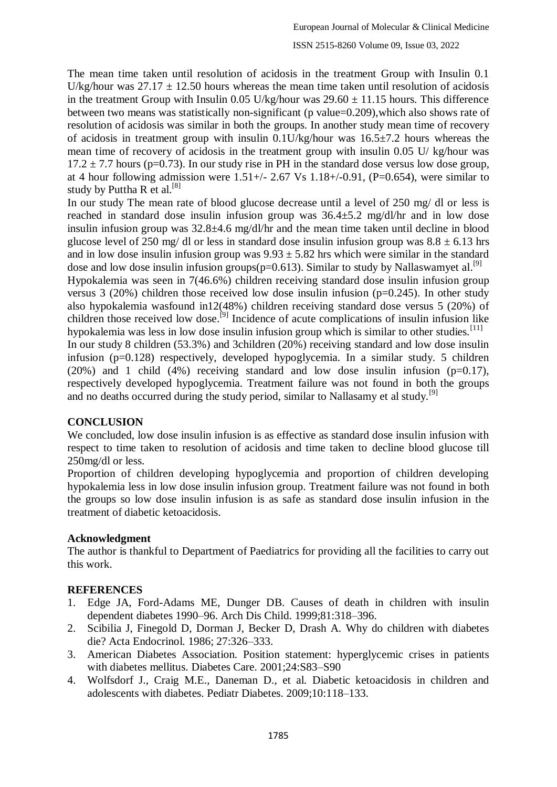The mean time taken until resolution of acidosis in the treatment Group with Insulin 0.1 U/kg/hour was  $27.17 \pm 12.50$  hours whereas the mean time taken until resolution of acidosis in the treatment Group with Insulin 0.05 U/kg/hour was  $29.60 \pm 11.15$  hours. This difference between two means was statistically non-significant (p value=0.209),which also shows rate of resolution of acidosis was similar in both the groups. In another study mean time of recovery of acidosis in treatment group with insulin  $0.1$ U/kg/hour was  $16.5\pm7.2$  hours whereas the mean time of recovery of acidosis in the treatment group with insulin 0.05 U/ kg/hour was  $17.2 \pm 7.7$  hours (p=0.73). In our study rise in PH in the standard dose versus low dose group, at 4 hour following admission were  $1.51+\frac{1}{2.67}$  Vs  $1.18+\frac{1}{9.691}$ , (P=0.654), were similar to study by Puttha R et al.<sup>[8]</sup>

In our study The mean rate of blood glucose decrease until a level of 250 mg/ dl or less is reached in standard dose insulin infusion group was 36.4±5.2 mg/dl/hr and in low dose insulin infusion group was  $32.8\pm4.6$  mg/dl/hr and the mean time taken until decline in blood glucose level of 250 mg/ dl or less in standard dose insulin infusion group was  $8.8 \pm 6.13$  hrs and in low dose insulin infusion group was  $9.93 \pm 5.82$  hrs which were similar in the standard dose and low dose insulin infusion groups( $p=0.613$ ). Similar to study by Nallaswamyet al.<sup>[9]</sup>

Hypokalemia was seen in 7(46.6%) children receiving standard dose insulin infusion group versus 3 (20%) children those received low dose insulin infusion ( $p=0.245$ ). In other study also hypokalemia wasfound in12(48%) children receiving standard dose versus 5 (20%) of children those received low dose.<sup>[9]</sup> Incidence of acute complications of insulin infusion like hypokalemia was less in low dose insulin infusion group which is similar to other studies.<sup>[11]</sup>

In our study 8 children (53.3%) and 3children (20%) receiving standard and low dose insulin infusion (p=0.128) respectively, developed hypoglycemia. In a similar study. 5 children (20%) and 1 child (4%) receiving standard and low dose insulin infusion ( $p=0.17$ ), respectively developed hypoglycemia. Treatment failure was not found in both the groups and no deaths occurred during the study period, similar to Nallasamy et al study.<sup>[9]</sup>

### **CONCLUSION**

We concluded, low dose insulin infusion is as effective as standard dose insulin infusion with respect to time taken to resolution of acidosis and time taken to decline blood glucose till 250mg/dl or less.

Proportion of children developing hypoglycemia and proportion of children developing hypokalemia less in low dose insulin infusion group. Treatment failure was not found in both the groups so low dose insulin infusion is as safe as standard dose insulin infusion in the treatment of diabetic ketoacidosis.

## **Acknowledgment**

The author is thankful to Department of Paediatrics for providing all the facilities to carry out this work.

## **REFERENCES**

- 1. Edge JA, Ford-Adams ME, Dunger DB. Causes of death in children with insulin dependent diabetes 1990–96. Arch Dis Child. 1999;81:318–396.
- 2. Scibilia J, Finegold D, Dorman J, Becker D, Drash A. Why do children with diabetes die? Acta Endocrinol. 1986; 27:326–333.
- 3. American Diabetes Association. Position statement: hyperglycemic crises in patients with diabetes mellitus. Diabetes Care. 2001;24:S83–S90
- 4. Wolfsdorf J., Craig M.E., Daneman D., et al. Diabetic ketoacidosis in children and adolescents with diabetes. Pediatr Diabetes. 2009;10:118–133.